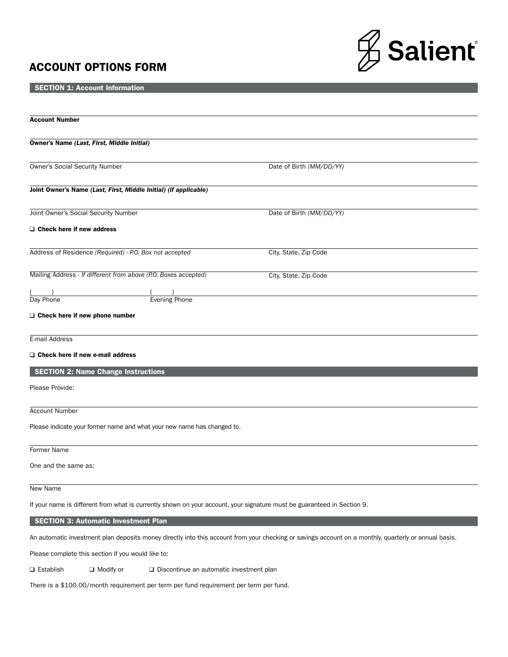# ACCOUNT OPTIONS FORM



**SECTION 1: Account Information** 

| <b>Account Number</b>                                                   |                                            |                                                                                                                                                       |
|-------------------------------------------------------------------------|--------------------------------------------|-------------------------------------------------------------------------------------------------------------------------------------------------------|
| Owner's Name (Last, First, Middle Initial)                              |                                            |                                                                                                                                                       |
| <b>Owner's Social Security Number</b>                                   |                                            | Date of Birth (MM/DD/YY)                                                                                                                              |
| Joint Owner's Name (Last, First, Middle Initial) (if applicable)        |                                            |                                                                                                                                                       |
| Joint Owner's Social Security Number                                    |                                            | Date of Birth (MM/DD/YY)                                                                                                                              |
| O Check here if new address                                             |                                            |                                                                                                                                                       |
| Address of Residence (Required) - P.O. Box not accepted                 |                                            | City, State, Zip Code                                                                                                                                 |
| Mailing Address - If different from above (P.O. Boxes accepted)         |                                            | City, State, Zip Code                                                                                                                                 |
| Day Phone                                                               | <b>Evening Phone</b>                       |                                                                                                                                                       |
| $\Box$ Check here if new phone number                                   |                                            |                                                                                                                                                       |
| E-mail Address                                                          |                                            |                                                                                                                                                       |
| O Check here if new e-mail address                                      |                                            |                                                                                                                                                       |
| <b>SECTION 2: Name Change Instructions</b>                              |                                            |                                                                                                                                                       |
| Please Provide:                                                         |                                            |                                                                                                                                                       |
| <b>Account Number</b>                                                   |                                            |                                                                                                                                                       |
| Please indicate your former name and what your new name has changed to. |                                            |                                                                                                                                                       |
| Former Name                                                             |                                            |                                                                                                                                                       |
| One and the same as:                                                    |                                            |                                                                                                                                                       |
| New Name                                                                |                                            |                                                                                                                                                       |
|                                                                         |                                            | If your name is different from what is currently shown on your account, your signature must be guaranteed in Section 9.                               |
| <b>SECTION 3: Automatic Investment Plan</b>                             |                                            |                                                                                                                                                       |
|                                                                         |                                            | An automatic investment plan deposits money directly into this account from your checking or savings account on a monthly, quarterly or annual basis. |
| Please complete this section if you would like to:                      |                                            |                                                                                                                                                       |
| <b>□</b> Establish<br>$\Box$ Modify or                                  | □ Discontinue an automatic investment plan |                                                                                                                                                       |

There is a \$100.00/month requirement per term per fund requirement per term per fund.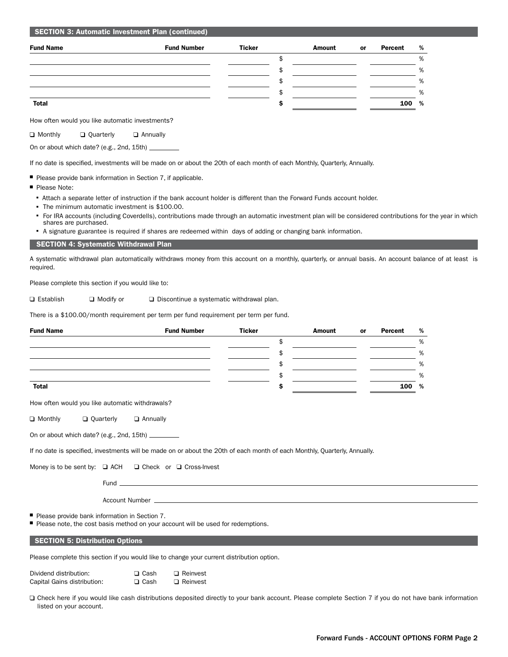|  |  | <b>SECTION 3: Automatic Investment Plan (continued)</b> |  |  |
|--|--|---------------------------------------------------------|--|--|
|--|--|---------------------------------------------------------|--|--|

| <b>Fund Name</b> | <b>Fund Number</b> | <b>Ticker</b> | Amount | or | Percent | %     |
|------------------|--------------------|---------------|--------|----|---------|-------|
|                  |                    |               |        |    |         | %     |
|                  |                    |               |        |    |         | %     |
|                  |                    |               |        |    |         | %     |
|                  |                    |               |        |    |         | %     |
| <b>Total</b>     |                    |               |        |    |         | 100 % |

How often would you like automatic investments?

**Q** Monthly **Q** Quarterly **Q** Annually

On or about which date? (e.g., 2nd, 15th)

If no date is specified, investments will be made on or about the 20th of each month of each Monthly, Quarterly, Annually.

■ Please provide bank information in Section 7, if applicable.

- Please Note:
	- <sup>n</sup> Attach a separate letter of instruction if the bank account holder is different than the Forward Funds account holder.
	- The minimum automatic investment is \$100.00.
	- <sup>n</sup> For IRA accounts (including Coverdells), contributions made through an automatic investment plan will be considered contributions for the year in which shares are purchased.
	- <sup>n</sup> A signature guarantee is required if shares are redeemed within days of adding or changing bank information.

#### SECTION 4: Systematic Withdrawal Plan

A systematic withdrawal plan automatically withdraws money from this account on a monthly, quarterly, or annual basis. An account balance of at least is required.

Please complete this section if you would like to:

 $\Box$  Establish  $\Box$  Modify or  $\Box$  Discontinue a systematic withdrawal plan.

There is a \$100.00/month requirement per term per fund requirement per term per fund.

| <b>Fund Name</b> | <b>Fund Number</b> | <b>Ticker</b> | <b>Amount</b> | or | Percent | % |
|------------------|--------------------|---------------|---------------|----|---------|---|
|                  |                    |               |               |    |         | % |
|                  |                    |               |               |    |         | % |
|                  |                    |               |               |    |         | % |
|                  |                    |               |               |    |         | % |
| <b>Total</b>     |                    |               |               |    | 100     | % |

How often would you like automatic withdrawals?

 $\Box$  Monthly  $\Box$  Quarterly  $\Box$  Annually

On or about which date? (e.g., 2nd, 15th)

If no date is specified, investments will be made on or about the 20th of each month of each Monthly, Quarterly, Annually.

Money is to be sent by:  $\Box$  ACH  $\Box$  Check or  $\Box$  Cross-Invest

Fund

Account Number

■ Please provide bank information in Section 7.

Please note, the cost basis method on your account will be used for redemptions.

#### SECTION 5: Distribution Options

Please complete this section if you would like to change your current distribution option.

| Dividend distribution:      | $\Box$ Cash | $\Box$ Reinvest |
|-----------------------------|-------------|-----------------|
| Capital Gains distribution: | $\Box$ Cash | $\Box$ Reinvest |

Check here if you would like cash distributions deposited directly to your bank account. Please complete Section 7 if you do not have bank information listed on your account.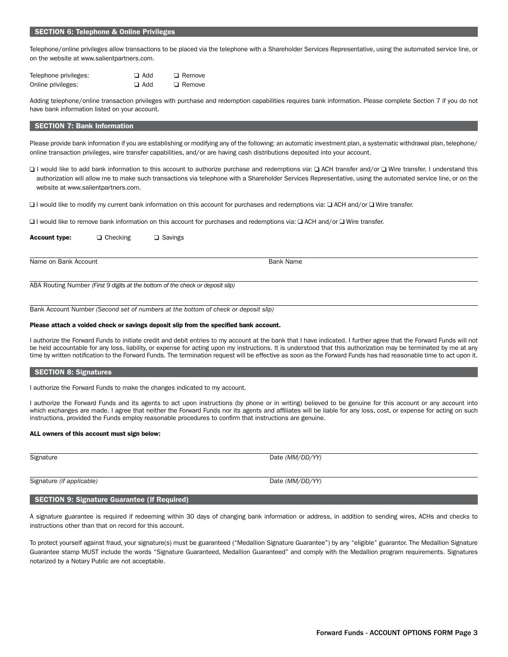### SECTION 6: Telephone & Online Privileges

Telephone/online privileges allow transactions to be placed via the telephone with a Shareholder Services Representative, using the automated service line, or on the website at www.salientpartners.com.

| Telephone privileges: | $\Box$ Add | $\Box$ Remove |
|-----------------------|------------|---------------|
| Online privileges:    | $\Box$ Add | $\Box$ Remove |

Adding telephone/online transaction privileges with purchase and redemption capabilities requires bank information. Please complete Section 7 if you do not have bank information listed on your account.

## SECTION 7: Bank Information

Please provide bank information if you are establishing or modifying any of the following: an automatic investment plan, a systematic withdrawal plan, telephone/ online transaction privileges, wire transfer capabilities, and/or are having cash distributions deposited into your account.

□ I would like to add bank information to this account to authorize purchase and redemptions via: □ ACH transfer and/or □ Wire transfer. I understand this authorization will allow me to make such transactions via telephone with a Shareholder Services Representative, using the automated service line, or on the website at www.salientpartners.com.

 $\Box$  I would like to modify my current bank information on this account for purchases and redemptions via:  $\Box$  ACH and/or  $\Box$  Wire transfer.

 $\Box$  I would like to remove bank information on this account for purchases and redemptions via:  $\Box$  ACH and/or  $\Box$  Wire transfer.

Account type:  $\Box$  Checking  $\Box$  Savings

Name on Bank Account Bank Account Bank Name

ABA Routing Number *(First 9 digits at the bottom of the check or deposit slip)*

Bank Account Number *(Second set of numbers at the bottom of check or deposit slip)*

#### Please attach a voided check or savings deposit slip from the specified bank account.

I authorize the Forward Funds to initiate credit and debit entries to my account at the bank that I have indicated. I further agree that the Forward Funds will not be held accountable for any loss, liability, or expense for acting upon my instructions. It is understood that this authorization may be terminated by me at any time by written notification to the Forward Funds. The termination request will be effective as soon as the Forward Funds has had reasonable time to act upon it.

#### SECTION 8: Signatures

I authorize the Forward Funds to make the changes indicated to my account.

I authorize the Forward Funds and its agents to act upon instructions (by phone or in writing) believed to be genuine for this account or any account into which exchanges are made. I agree that neither the Forward Funds nor its agents and affiliates will be liable for any loss, cost, or expense for acting on such instructions, provided the Funds employ reasonable procedures to confirm that instructions are genuine.

#### ALL owners of this account must sign below:

Signature Date *(MM/DD/YY)* 

Signature *(if applicable)* Date *(MM/DD/YY)* Date *(MM/DD/YY)* 

# SECTION 9: Signature Guarantee (If Required)

A signature guarantee is required if redeeming within 30 days of changing bank information or address, in addition to sending wires, ACHs and checks to instructions other than that on record for this account.

To protect yourself against fraud, your signature(s) must be guaranteed ("Medallion Signature Guarantee") by any "eligible" guarantor. The Medallion Signature Guarantee stamp MUST include the words "Signature Guaranteed, Medallion Guaranteed" and comply with the Medallion program requirements. Signatures notarized by a Notary Public are not acceptable.